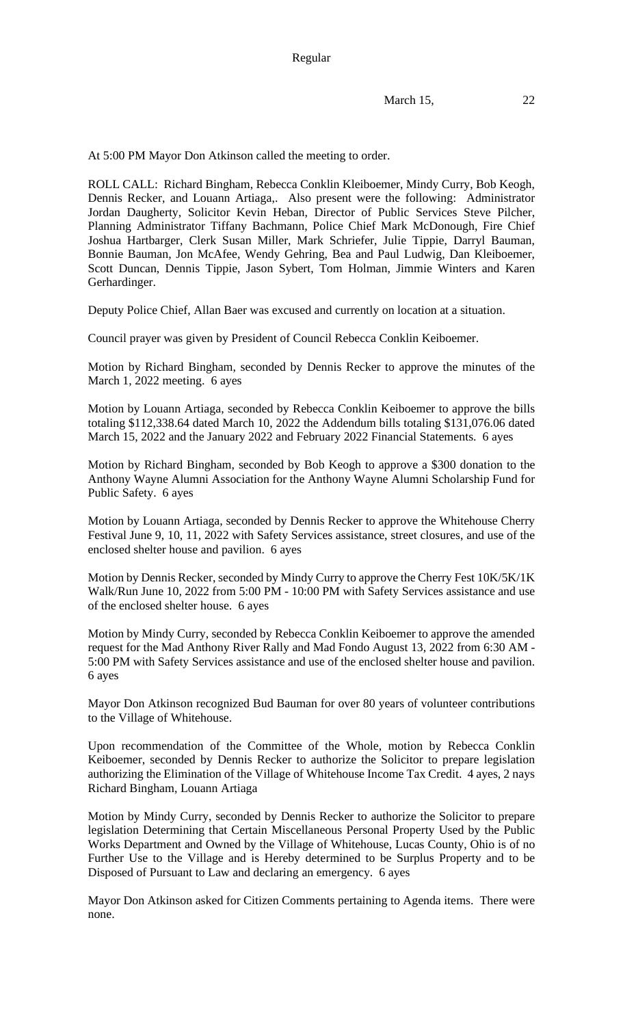At 5:00 PM Mayor Don Atkinson called the meeting to order.

ROLL CALL: Richard Bingham, Rebecca Conklin Kleiboemer, Mindy Curry, Bob Keogh, Dennis Recker, and Louann Artiaga,. Also present were the following: Administrator Jordan Daugherty, Solicitor Kevin Heban, Director of Public Services Steve Pilcher, Planning Administrator Tiffany Bachmann, Police Chief Mark McDonough, Fire Chief Joshua Hartbarger, Clerk Susan Miller, Mark Schriefer, Julie Tippie, Darryl Bauman, Bonnie Bauman, Jon McAfee, Wendy Gehring, Bea and Paul Ludwig, Dan Kleiboemer, Scott Duncan, Dennis Tippie, Jason Sybert, Tom Holman, Jimmie Winters and Karen Gerhardinger.

Deputy Police Chief, Allan Baer was excused and currently on location at a situation.

Council prayer was given by President of Council Rebecca Conklin Keiboemer.

Motion by Richard Bingham, seconded by Dennis Recker to approve the minutes of the March 1, 2022 meeting. 6 ayes

Motion by Louann Artiaga, seconded by Rebecca Conklin Keiboemer to approve the bills totaling \$112,338.64 dated March 10, 2022 the Addendum bills totaling \$131,076.06 dated March 15, 2022 and the January 2022 and February 2022 Financial Statements. 6 ayes

Motion by Richard Bingham, seconded by Bob Keogh to approve a \$300 donation to the Anthony Wayne Alumni Association for the Anthony Wayne Alumni Scholarship Fund for Public Safety. 6 ayes

Motion by Louann Artiaga, seconded by Dennis Recker to approve the Whitehouse Cherry Festival June 9, 10, 11, 2022 with Safety Services assistance, street closures, and use of the enclosed shelter house and pavilion. 6 ayes

Motion by Dennis Recker, seconded by Mindy Curry to approve the Cherry Fest 10K/5K/1K Walk/Run June 10, 2022 from 5:00 PM - 10:00 PM with Safety Services assistance and use of the enclosed shelter house. 6 ayes

Motion by Mindy Curry, seconded by Rebecca Conklin Keiboemer to approve the amended request for the Mad Anthony River Rally and Mad Fondo August 13, 2022 from 6:30 AM - 5:00 PM with Safety Services assistance and use of the enclosed shelter house and pavilion. 6 ayes

Mayor Don Atkinson recognized Bud Bauman for over 80 years of volunteer contributions to the Village of Whitehouse.

Upon recommendation of the Committee of the Whole, motion by Rebecca Conklin Keiboemer, seconded by Dennis Recker to authorize the Solicitor to prepare legislation authorizing the Elimination of the Village of Whitehouse Income Tax Credit. 4 ayes, 2 nays Richard Bingham, Louann Artiaga

Motion by Mindy Curry, seconded by Dennis Recker to authorize the Solicitor to prepare legislation Determining that Certain Miscellaneous Personal Property Used by the Public Works Department and Owned by the Village of Whitehouse, Lucas County, Ohio is of no Further Use to the Village and is Hereby determined to be Surplus Property and to be Disposed of Pursuant to Law and declaring an emergency. 6 ayes

Mayor Don Atkinson asked for Citizen Comments pertaining to Agenda items. There were none.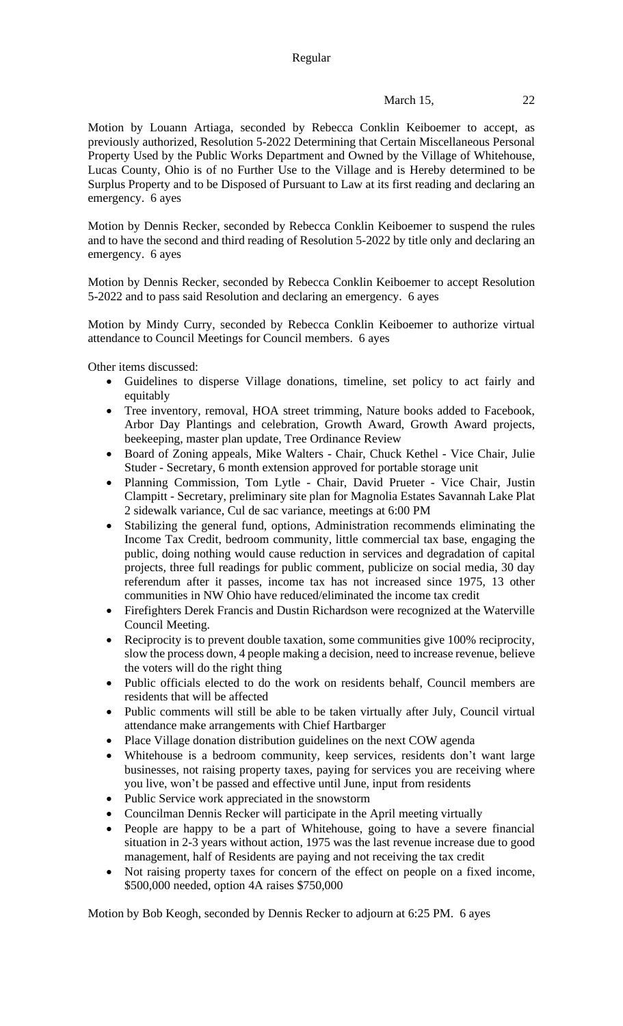## March 15, 22

Motion by Louann Artiaga, seconded by Rebecca Conklin Keiboemer to accept, as previously authorized, Resolution 5-2022 Determining that Certain Miscellaneous Personal Property Used by the Public Works Department and Owned by the Village of Whitehouse, Lucas County, Ohio is of no Further Use to the Village and is Hereby determined to be Surplus Property and to be Disposed of Pursuant to Law at its first reading and declaring an emergency. 6 ayes

Motion by Dennis Recker, seconded by Rebecca Conklin Keiboemer to suspend the rules and to have the second and third reading of Resolution 5-2022 by title only and declaring an emergency. 6 ayes

Motion by Dennis Recker, seconded by Rebecca Conklin Keiboemer to accept Resolution 5-2022 and to pass said Resolution and declaring an emergency. 6 ayes

Motion by Mindy Curry, seconded by Rebecca Conklin Keiboemer to authorize virtual attendance to Council Meetings for Council members. 6 ayes

Other items discussed:

- Guidelines to disperse Village donations, timeline, set policy to act fairly and equitably
- Tree inventory, removal, HOA street trimming, Nature books added to Facebook, Arbor Day Plantings and celebration, Growth Award, Growth Award projects, beekeeping, master plan update, Tree Ordinance Review
- Board of Zoning appeals, Mike Walters Chair, Chuck Kethel Vice Chair, Julie Studer - Secretary, 6 month extension approved for portable storage unit
- Planning Commission, Tom Lytle Chair, David Prueter Vice Chair, Justin Clampitt - Secretary, preliminary site plan for Magnolia Estates Savannah Lake Plat 2 sidewalk variance, Cul de sac variance, meetings at 6:00 PM
- Stabilizing the general fund, options, Administration recommends eliminating the Income Tax Credit, bedroom community, little commercial tax base, engaging the public, doing nothing would cause reduction in services and degradation of capital projects, three full readings for public comment, publicize on social media, 30 day referendum after it passes, income tax has not increased since 1975, 13 other communities in NW Ohio have reduced/eliminated the income tax credit
- Firefighters Derek Francis and Dustin Richardson were recognized at the Waterville Council Meeting.
- Reciprocity is to prevent double taxation, some communities give 100% reciprocity, slow the process down, 4 people making a decision, need to increase revenue, believe the voters will do the right thing
- Public officials elected to do the work on residents behalf, Council members are residents that will be affected
- Public comments will still be able to be taken virtually after July, Council virtual attendance make arrangements with Chief Hartbarger
- Place Village donation distribution guidelines on the next COW agenda
- Whitehouse is a bedroom community, keep services, residents don't want large businesses, not raising property taxes, paying for services you are receiving where you live, won't be passed and effective until June, input from residents
- Public Service work appreciated in the snowstorm
- Councilman Dennis Recker will participate in the April meeting virtually
- People are happy to be a part of Whitehouse, going to have a severe financial situation in 2-3 years without action, 1975 was the last revenue increase due to good management, half of Residents are paying and not receiving the tax credit
- Not raising property taxes for concern of the effect on people on a fixed income, \$500,000 needed, option 4A raises \$750,000

Motion by Bob Keogh, seconded by Dennis Recker to adjourn at 6:25 PM. 6 ayes